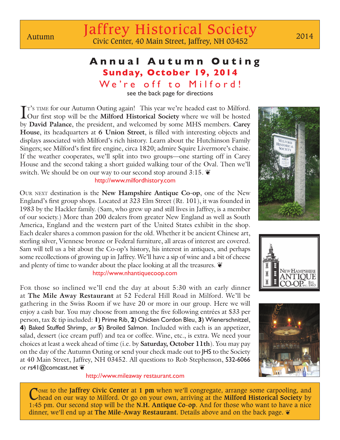## **Annual Autumn Outing Sunday, October 19, 2014**

We're off to Milford!

see the back page for directions

I<sup>T's TIME</sup> for our Autumn Outing again! This year we're headed east to Milford.<br>Our first stop will be the **Milford Historical Society** where we will be hosted Our first stop will be the **Milford Historical Society** where we will be hosted by **David Palance**, the president, and welcomed by some MHS members. **Carey House**, its headquarters at **6 Union Street**, is filled with interesting objects and displays associated with Milford's rich history. Learn about the Hutchinson Family Singers; see Milford's first fire engine, circa 1820; admire Squire Livermore's chaise. If the weather cooperates, we'll split into two groups—one starting off in Carey House and the second taking a short guided walking tour of the Oval. Then we'll switch. We should be on our way to our second stop around  $3:15.$ 

## http://www.milfordhistory.com

Our next destination is the **New Hampshire Antique Co-op**, one of the New England's first group shops. Located at 323 Elm Street (Rt. 101), it was founded in 1983 by the Hackler family. (Sam, who grew up and still lives in Jaffrey, is a member of our society.) More than 200 dealers from greater New England as well as South America, England and the western part of the United States exhibit in the shop. Each dealer shares a common passion for the old. Whether it be ancient Chinese art, sterling silver, Viennese bronze or Federal furniture, all areas of interest are covered. Sam will tell us a bit about the Co-op's history, his interest in antiques, and perhaps some recollections of growing up in Jaffrey. We'll have a sip of wine and a bit of cheese and plenty of time to wander about the place looking at all the treasures.  $\mathbf{\tilde{e}}$ 

## http://www.nhantiquecoop.com

For those so inclined we'll end the day at about 5:30 with an early dinner at **The Mile Away Restaurant** at 52 Federal Hill Road in Milford. We'll be gathering in the Swiss Room if we have 20 or more in our group. Here we will enjoy a cash bar. You may choose from among the five following entrées at \$33 per person, tax & tip included: **1**) Prime Rib, **2**) Chicken Cordon Bleu, **3**) Wienerschnitzel, **4**) Baked Stuffed Shrimp, *or* **5**) Broiled Salmon. Included with each is an appetizer, salad, dessert (ice cream puff) and tea or coffee. Wine, etc., is extra. We need your choices at least a week ahead of time (i.e. by **Saturday, October 11th**). You may pay on the day of the Autumn Outing or send your check made out to JHS to the Society at 40 Main Street, Jaffrey, NH 03452. All questions to Rob Stephenson, 532-6066 or rs41@comcast.net  $\ddot{\mathbf{e}}$ 

http://www.mileaway restaurant.com

Come to the **Jaffrey Civic Center** at **1 pm** when we'll congregate, arrange some carpooling, and head on our way to Milford. Or go on your own, arriving at the **Milford Historical Society** by 1:45 pm. Our second stop will be the **N.H. Antique Co-op**. And for those who want to have a nice dinner, we'll end up at **The Mile-Away Restaurant**. Details above and on the back page. ❦